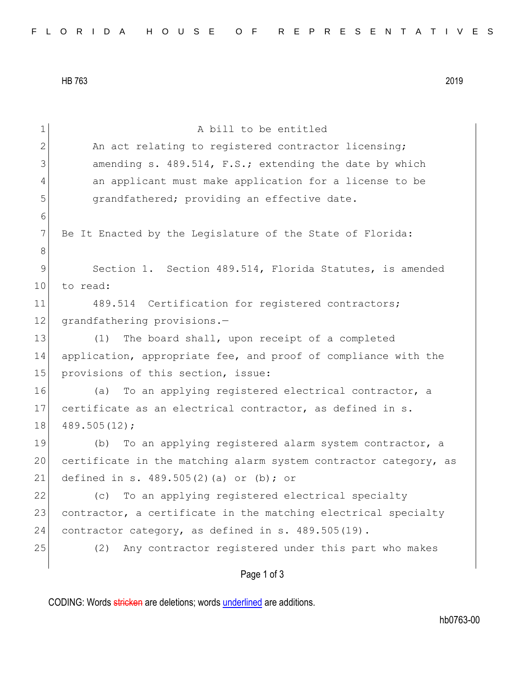HB 763 2019

| $\mathbf 1$    | A bill to be entitled                                            |
|----------------|------------------------------------------------------------------|
| $\mathbf{2}$   | An act relating to registered contractor licensing;              |
| 3              | amending s. 489.514, F.S.; extending the date by which           |
| $\overline{4}$ | an applicant must make application for a license to be           |
| 5              | grandfathered; providing an effective date.                      |
| 6              |                                                                  |
| 7              | Be It Enacted by the Legislature of the State of Florida:        |
| 8              |                                                                  |
| $\mathsf 9$    | Section 1. Section 489.514, Florida Statutes, is amended         |
| 10             | to read:                                                         |
| 11             | 489.514 Certification for registered contractors;                |
| 12             | grandfathering provisions.-                                      |
| 13             | The board shall, upon receipt of a completed<br>(1)              |
| 14             | application, appropriate fee, and proof of compliance with the   |
| 15             | provisions of this section, issue:                               |
| 16             | To an applying registered electrical contractor, a<br>(a)        |
| 17             | certificate as an electrical contractor, as defined in s.        |
| 18             | 489.505(12);                                                     |
| 19             | To an applying registered alarm system contractor, a<br>(b)      |
| 20             | certificate in the matching alarm system contractor category, as |
| 21             | defined in s. $489.505(2)$ (a) or (b); or                        |
| 22             | To an applying registered electrical specialty<br>(c)            |
| 23             | contractor, a certificate in the matching electrical specialty   |
| 24             | contractor category, as defined in s. 489.505(19).               |
| 25             | Any contractor registered under this part who makes<br>(2)       |
|                | Page 1 of 3                                                      |

CODING: Words stricken are deletions; words underlined are additions.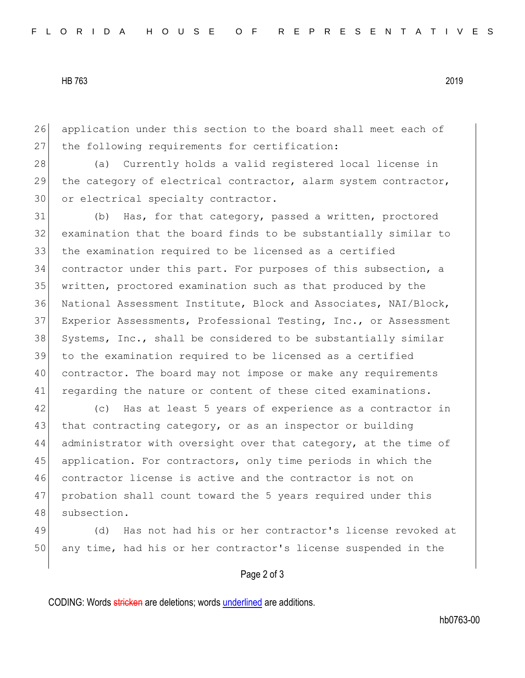HB 763 2019

26 application under this section to the board shall meet each of 27 the following requirements for certification:

28 (a) Currently holds a valid registered local license in 29 the category of electrical contractor, alarm system contractor, 30 or electrical specialty contractor.

 (b) Has, for that category, passed a written, proctored examination that the board finds to be substantially similar to the examination required to be licensed as a certified contractor under this part. For purposes of this subsection, a written, proctored examination such as that produced by the National Assessment Institute, Block and Associates, NAI/Block, Experior Assessments, Professional Testing, Inc., or Assessment 38 Systems, Inc., shall be considered to be substantially similar to the examination required to be licensed as a certified contractor. The board may not impose or make any requirements 41 regarding the nature or content of these cited examinations.

42 (c) Has at least 5 years of experience as a contractor in 43 that contracting category, or as an inspector or building 44 administrator with oversight over that category, at the time of 45 application. For contractors, only time periods in which the 46 contractor license is active and the contractor is not on 47 probation shall count toward the 5 years required under this 48 subsection.

49 (d) Has not had his or her contractor's license revoked at 50 any time, had his or her contractor's license suspended in the

## Page 2 of 3

CODING: Words stricken are deletions; words underlined are additions.